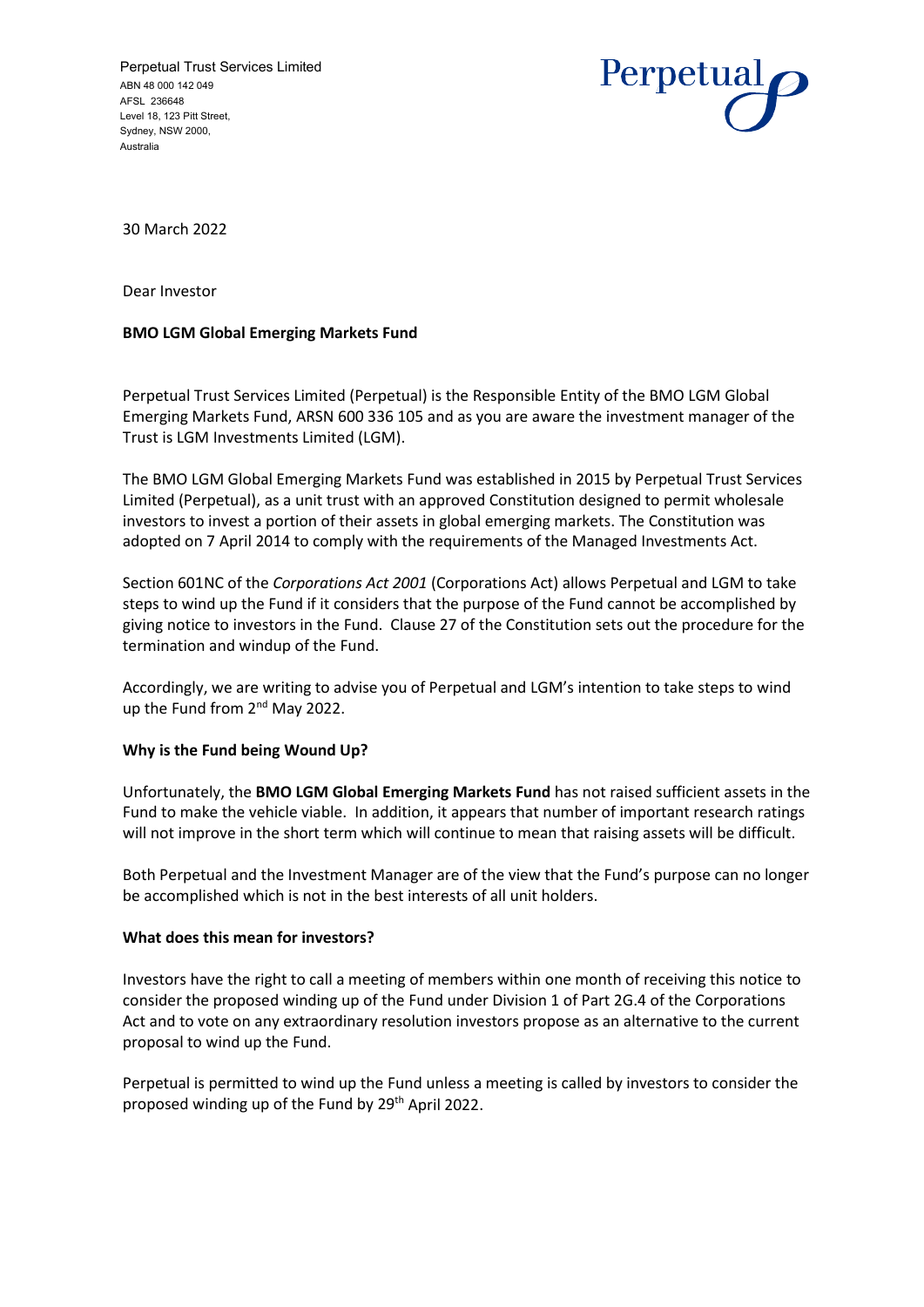Perpetual Trust Services Limited ABN 48 000 142 049 AFSL 236648 Level 18, 123 Pitt Street, Sydney, NSW 2000, Australia



30 March 2022

Dear Investor

# **BMO LGM Global Emerging Markets Fund**

Perpetual Trust Services Limited (Perpetual) is the Responsible Entity of the BMO LGM Global Emerging Markets Fund, ARSN 600 336 105 and as you are aware the investment manager of the Trust is LGM Investments Limited (LGM).

The BMO LGM Global Emerging Markets Fund was established in 2015 by Perpetual Trust Services Limited (Perpetual), as a unit trust with an approved Constitution designed to permit wholesale investors to invest a portion of their assets in global emerging markets. The Constitution was adopted on 7 April 2014 to comply with the requirements of the Managed Investments Act.

Section 601NC of the *Corporations Act 2001* (Corporations Act) allows Perpetual and LGM to take steps to wind up the Fund if it considers that the purpose of the Fund cannot be accomplished by giving notice to investors in the Fund. Clause 27 of the Constitution sets out the procedure for the termination and windup of the Fund.

Accordingly, we are writing to advise you of Perpetual and LGM's intention to take steps to wind up the Fund from 2<sup>nd</sup> May 2022.

#### **Why is the Fund being Wound Up?**

Unfortunately, the **BMO LGM Global Emerging Markets Fund** has not raised sufficient assets in the Fund to make the vehicle viable. In addition, it appears that number of important research ratings will not improve in the short term which will continue to mean that raising assets will be difficult.

Both Perpetual and the Investment Manager are of the view that the Fund's purpose can no longer be accomplished which is not in the best interests of all unit holders.

#### **What does this mean for investors?**

Investors have the right to call a meeting of members within one month of receiving this notice to consider the proposed winding up of the Fund under Division 1 of Part 2G.4 of the Corporations Act and to vote on any extraordinary resolution investors propose as an alternative to the current proposal to wind up the Fund.

Perpetual is permitted to wind up the Fund unless a meeting is called by investors to consider the proposed winding up of the Fund by 29<sup>th</sup> April 2022.